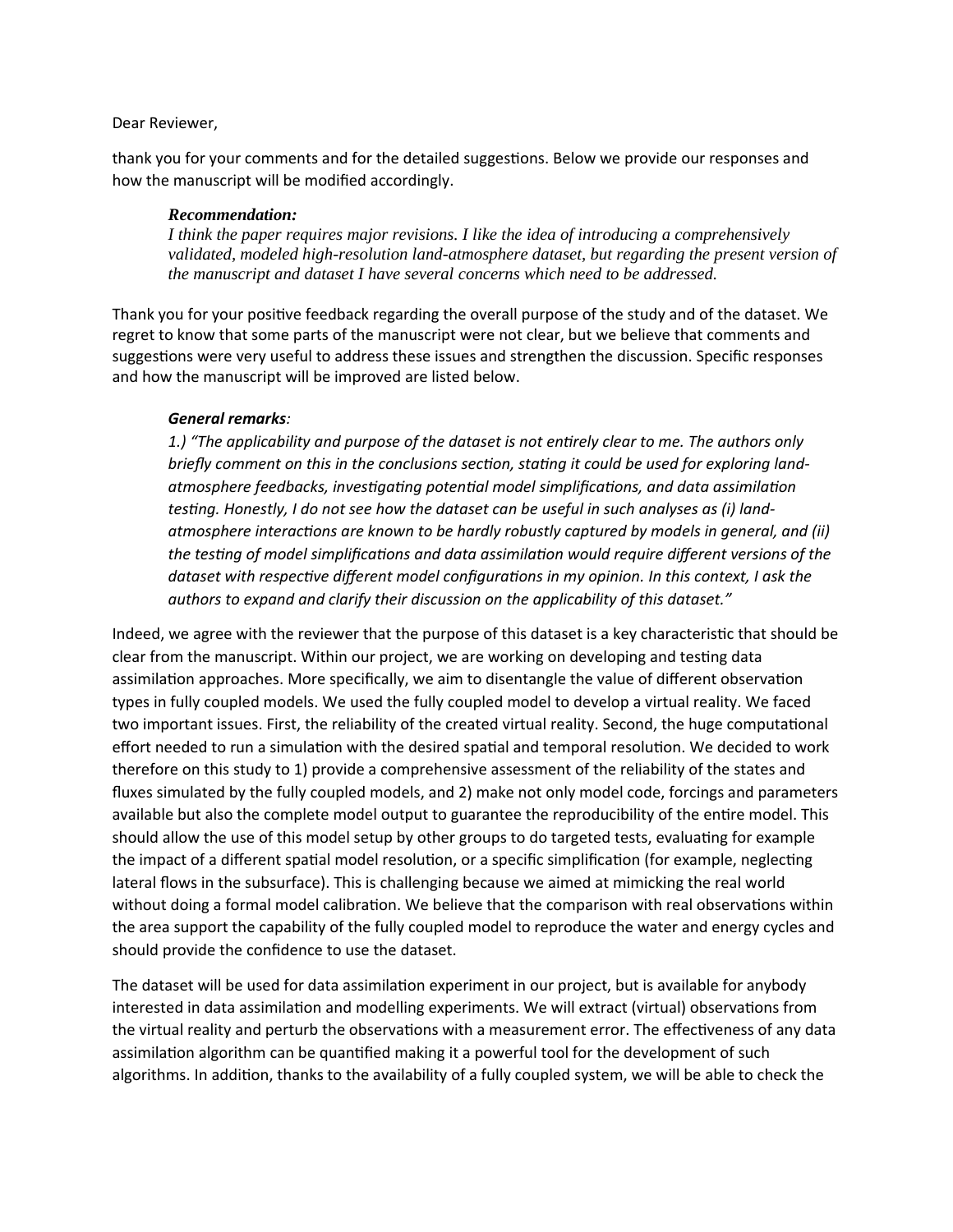## Dear Reviewer,

thank you for your comments and for the detailed suggestions. Below we provide our responses and how the manuscript will be modified accordingly.

## *Recommendation:*

*I think the paper requires major revisions. I like the idea of introducing a comprehensively validated, modeled high-resolution land-atmosphere dataset, but regarding the present version of the manuscript and dataset I have several concerns which need to be addressed.*

Thank you for your positive feedback regarding the overall purpose of the study and of the dataset. We regret to know that some parts of the manuscript were not clear, but we believe that comments and suggestions were very useful to address these issues and strengthen the discussion. Specific responses and how the manuscript will be improved are listed below.

## *General remarks:*

*1.) "The applicability and purpose of the dataset is not entirely clear to me. The authors only briefly comment on this in the conclusions section, stating it could be used for exploring landatmosphere feedbacks, investigating potential model simplifications, and data assimilation testing. Honestly, I do not see how the dataset can be useful in such analyses as (i) landatmosphere interactions are known to be hardly robustly captured by models in general, and (ii) the testing of model simplifications and data assimilation would require different versions of the dataset with respective different model configurations in my opinion. In this context, I ask the authors to expand and clarify their discussion on the applicability of this dataset."*

Indeed, we agree with the reviewer that the purpose of this dataset is a key characteristic that should be clear from the manuscript. Within our project, we are working on developing and testing data assimilation approaches. More specifically, we aim to disentangle the value of different observation types in fully coupled models. We used the fully coupled model to develop a virtual reality. We faced two important issues. First, the reliability of the created virtual reality. Second, the huge computational effort needed to run a simulation with the desired spatial and temporal resolution. We decided to work therefore on this study to 1) provide a comprehensive assessment of the reliability of the states and fluxes simulated by the fully coupled models, and 2) make not only model code, forcings and parameters available but also the complete model output to guarantee the reproducibility of the entire model. This should allow the use of this model setup by other groups to do targeted tests, evaluating for example the impact of a different spatial model resolution, or a specific simplification (for example, neglecting lateral flows in the subsurface). This is challenging because we aimed at mimicking the real world without doing a formal model calibration. We believe that the comparison with real observations within the area support the capability of the fully coupled model to reproduce the water and energy cycles and should provide the confidence to use the dataset.

The dataset will be used for data assimilation experiment in our project, but is available for anybody interested in data assimilation and modelling experiments. We will extract (virtual) observations from the virtual reality and perturb the observations with a measurement error. The effectiveness of any data assimilation algorithm can be quantified making it a powerful tool for the development of such algorithms. In addition, thanks to the availability of a fully coupled system, we will be able to check the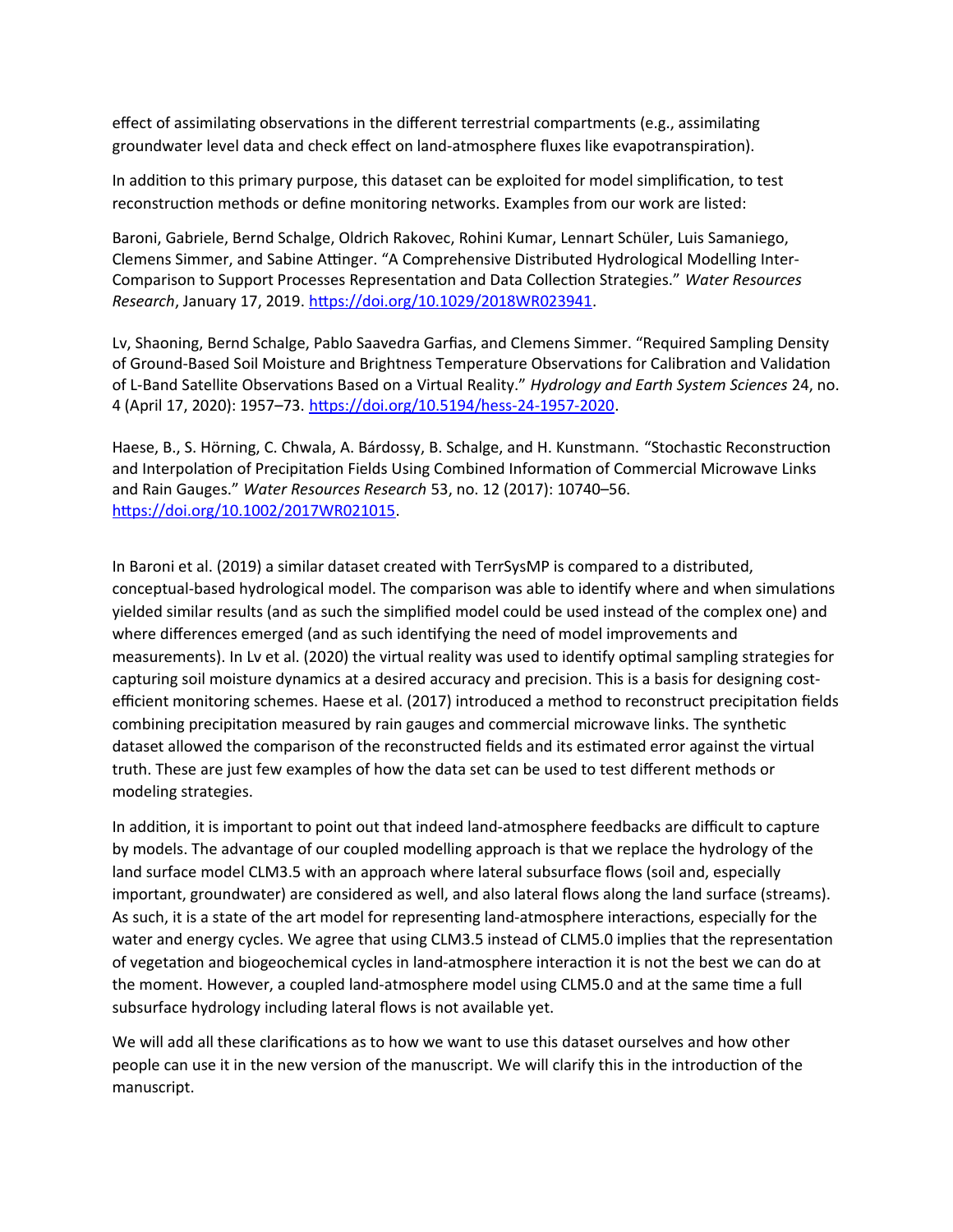effect of assimilating observations in the different terrestrial compartments (e.g., assimilating groundwater level data and check effect on land-atmosphere fluxes like evapotranspiration).

In addition to this primary purpose, this dataset can be exploited for model simplification, to test reconstruction methods or define monitoring networks. Examples from our work are listed:

Baroni, Gabriele, Bernd Schalge, Oldrich Rakovec, Rohini Kumar, Lennart Schüler, Luis Samaniego, Clemens Simmer, and Sabine Attinger. "A Comprehensive Distributed Hydrological Modelling Inter-Comparison to Support Processes Representation and Data Collection Strategies." *Water Resources Research*, January 17, 2019. [https://doi.org/10.1029/2018WR023941.](https://doi.org/10.1029/2018WR023941)

Lv, Shaoning, Bernd Schalge, Pablo Saavedra Garfias, and Clemens Simmer. "Required Sampling Density of Ground-Based Soil Moisture and Brightness Temperature Observations for Calibration and Validation of L-Band Satellite Observations Based on a Virtual Reality." *Hydrology and Earth System Sciences* 24, no. 4 (April 17, 2020): 1957–73. [https://doi.org/10.5194/hess-24-1957-2020.](https://doi.org/10.5194/hess-24-1957-2020)

Haese, B., S. Hörning, C. Chwala, A. Bárdossy, B. Schalge, and H. Kunstmann. "Stochastic Reconstruction and Interpolation of Precipitation Fields Using Combined Information of Commercial Microwave Links and Rain Gauges." *Water Resources Research* 53, no. 12 (2017): 10740–56. [https://doi.org/10.1002/2017WR021015.](https://doi.org/10.1002/2017WR021015)

In Baroni et al. (2019) a similar dataset created with TerrSysMP is compared to a distributed, conceptual-based hydrological model. The comparison was able to identify where and when simulations yielded similar results (and as such the simplified model could be used instead of the complex one) and where differences emerged (and as such identifying the need of model improvements and measurements). In Lv et al. (2020) the virtual reality was used to identify optimal sampling strategies for capturing soil moisture dynamics at a desired accuracy and precision. This is a basis for designing costefficient monitoring schemes. Haese et al. (2017) introduced a method to reconstruct precipitation fields combining precipitation measured by rain gauges and commercial microwave links. The synthetic dataset allowed the comparison of the reconstructed fields and its estimated error against the virtual truth. These are just few examples of how the data set can be used to test different methods or modeling strategies.

In addition, it is important to point out that indeed land-atmosphere feedbacks are difficult to capture by models. The advantage of our coupled modelling approach is that we replace the hydrology of the land surface model CLM3.5 with an approach where lateral subsurface flows (soil and, especially important, groundwater) are considered as well, and also lateral flows along the land surface (streams). As such, it is a state of the art model for representing land-atmosphere interactions, especially for the water and energy cycles. We agree that using CLM3.5 instead of CLM5.0 implies that the representation of vegetation and biogeochemical cycles in land-atmosphere interaction it is not the best we can do at the moment. However, a coupled land-atmosphere model using CLM5.0 and at the same time a full subsurface hydrology including lateral flows is not available yet.

We will add all these clarifications as to how we want to use this dataset ourselves and how other people can use it in the new version of the manuscript. We will clarify this in the introduction of the manuscript.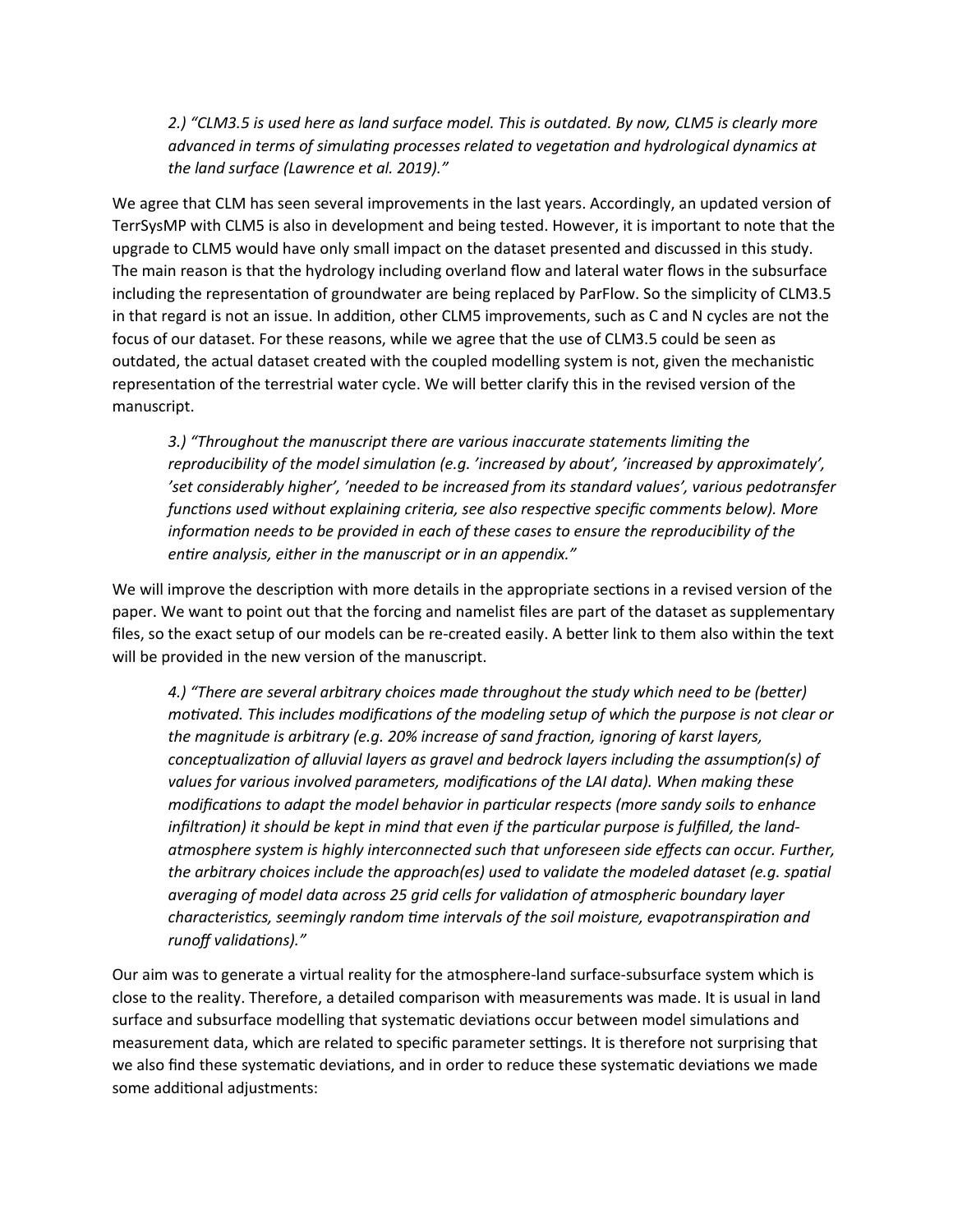*2.) "CLM3.5 is used here as land surface model. This is outdated. By now, CLM5 is clearly more advanced in terms of simulating processes related to vegetation and hydrological dynamics at the land surface (Lawrence et al. 2019)."*

We agree that CLM has seen several improvements in the last years. Accordingly, an updated version of TerrSysMP with CLM5 is also in development and being tested. However, it is important to note that the upgrade to CLM5 would have only small impact on the dataset presented and discussed in this study. The main reason is that the hydrology including overland flow and lateral water flows in the subsurface including the representation of groundwater are being replaced by ParFlow. So the simplicity of CLM3.5 in that regard is not an issue. In addition, other CLM5 improvements, such as C and N cycles are not the focus of our dataset. For these reasons, while we agree that the use of CLM3.5 could be seen as outdated, the actual dataset created with the coupled modelling system is not, given the mechanistic representation of the terrestrial water cycle. We will better clarify this in the revised version of the manuscript.

*3.) "Throughout the manuscript there are various inaccurate statements limiting the reproducibility of the model simulation (e.g. 'increased by about', 'increased by approximately', 'set considerably higher', 'needed to be increased from its standard values', various pedotransfer functions used without explaining criteria, see also respective specific comments below). More information needs to be provided in each of these cases to ensure the reproducibility of the entire analysis, either in the manuscript or in an appendix."*

We will improve the description with more details in the appropriate sections in a revised version of the paper. We want to point out that the forcing and namelist files are part of the dataset as supplementary files, so the exact setup of our models can be re-created easily. A better link to them also within the text will be provided in the new version of the manuscript.

*4.) "There are several arbitrary choices made throughout the study which need to be (better) motivated. This includes modifications of the modeling setup of which the purpose is not clear or the magnitude is arbitrary (e.g. 20% increase of sand fraction, ignoring of karst layers, conceptualization of alluvial layers as gravel and bedrock layers including the assumption(s) of values for various involved parameters, modifications of the LAI data). When making these modifications to adapt the model behavior in particular respects (more sandy soils to enhance infiltration) it should be kept in mind that even if the particular purpose is fulfilled, the landatmosphere system is highly interconnected such that unforeseen side effects can occur. Further, the arbitrary choices include the approach(es) used to validate the modeled dataset (e.g. spatial averaging of model data across 25 grid cells for validation of atmospheric boundary layer characteristics, seemingly random time intervals of the soil moisture, evapotranspiration and runoff validations)."*

Our aim was to generate a virtual reality for the atmosphere-land surface-subsurface system which is close to the reality. Therefore, a detailed comparison with measurements was made. It is usual in land surface and subsurface modelling that systematic deviations occur between model simulations and measurement data, which are related to specific parameter settings. It is therefore not surprising that we also find these systematic deviations, and in order to reduce these systematic deviations we made some additional adjustments: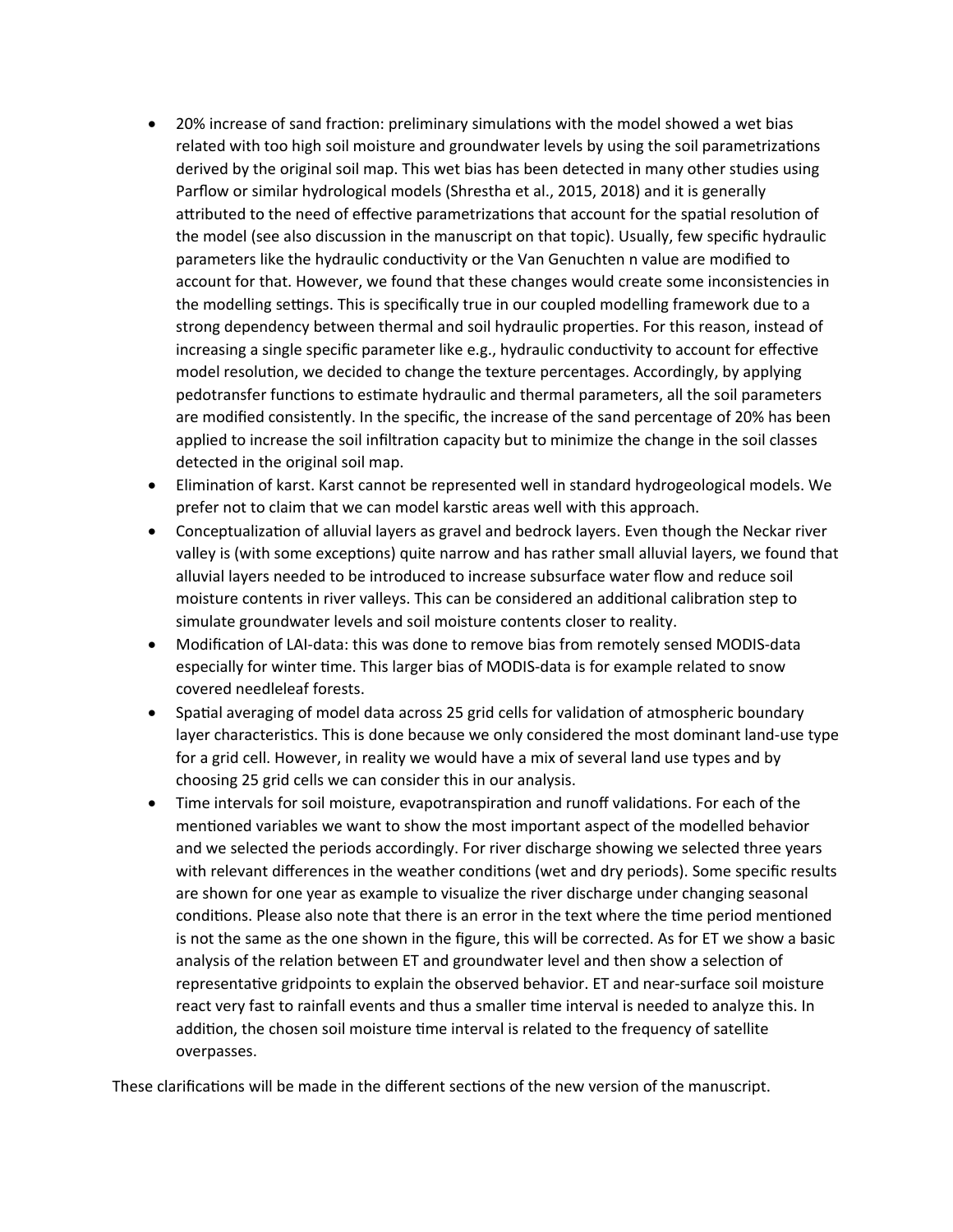- 20% increase of sand fraction: preliminary simulations with the model showed a wet bias related with too high soil moisture and groundwater levels by using the soil parametrizations derived by the original soil map. This wet bias has been detected in many other studies using Parflow or similar hydrological models (Shrestha et al., 2015, 2018) and it is generally attributed to the need of effective parametrizations that account for the spatial resolution of the model (see also discussion in the manuscript on that topic). Usually, few specific hydraulic parameters like the hydraulic conductivity or the Van Genuchten n value are modified to account for that. However, we found that these changes would create some inconsistencies in the modelling settings. This is specifically true in our coupled modelling framework due to a strong dependency between thermal and soil hydraulic properties. For this reason, instead of increasing a single specific parameter like e.g., hydraulic conductivity to account for effective model resolution, we decided to change the texture percentages. Accordingly, by applying pedotransfer functions to estimate hydraulic and thermal parameters, all the soil parameters are modified consistently. In the specific, the increase of the sand percentage of 20% has been applied to increase the soil infiltration capacity but to minimize the change in the soil classes detected in the original soil map.
- Elimination of karst. Karst cannot be represented well in standard hydrogeological models. We prefer not to claim that we can model karstic areas well with this approach.
- Conceptualization of alluvial layers as gravel and bedrock layers. Even though the Neckar river valley is (with some exceptions) quite narrow and has rather small alluvial layers, we found that alluvial layers needed to be introduced to increase subsurface water flow and reduce soil moisture contents in river valleys. This can be considered an additional calibration step to simulate groundwater levels and soil moisture contents closer to reality.
- Modification of LAI-data: this was done to remove bias from remotely sensed MODIS-data especially for winter time. This larger bias of MODIS-data is for example related to snow covered needleleaf forests.
- Spatial averaging of model data across 25 grid cells for validation of atmospheric boundary layer characteristics. This is done because we only considered the most dominant land-use type for a grid cell. However, in reality we would have a mix of several land use types and by choosing 25 grid cells we can consider this in our analysis.
- Time intervals for soil moisture, evapotranspiration and runoff validations. For each of the mentioned variables we want to show the most important aspect of the modelled behavior and we selected the periods accordingly. For river discharge showing we selected three years with relevant differences in the weather conditions (wet and dry periods). Some specific results are shown for one year as example to visualize the river discharge under changing seasonal conditions. Please also note that there is an error in the text where the time period mentioned is not the same as the one shown in the figure, this will be corrected. As for ET we show a basic analysis of the relation between ET and groundwater level and then show a selection of representative gridpoints to explain the observed behavior. ET and near-surface soil moisture react very fast to rainfall events and thus a smaller time interval is needed to analyze this. In addition, the chosen soil moisture time interval is related to the frequency of satellite overpasses.

These clarifications will be made in the different sections of the new version of the manuscript.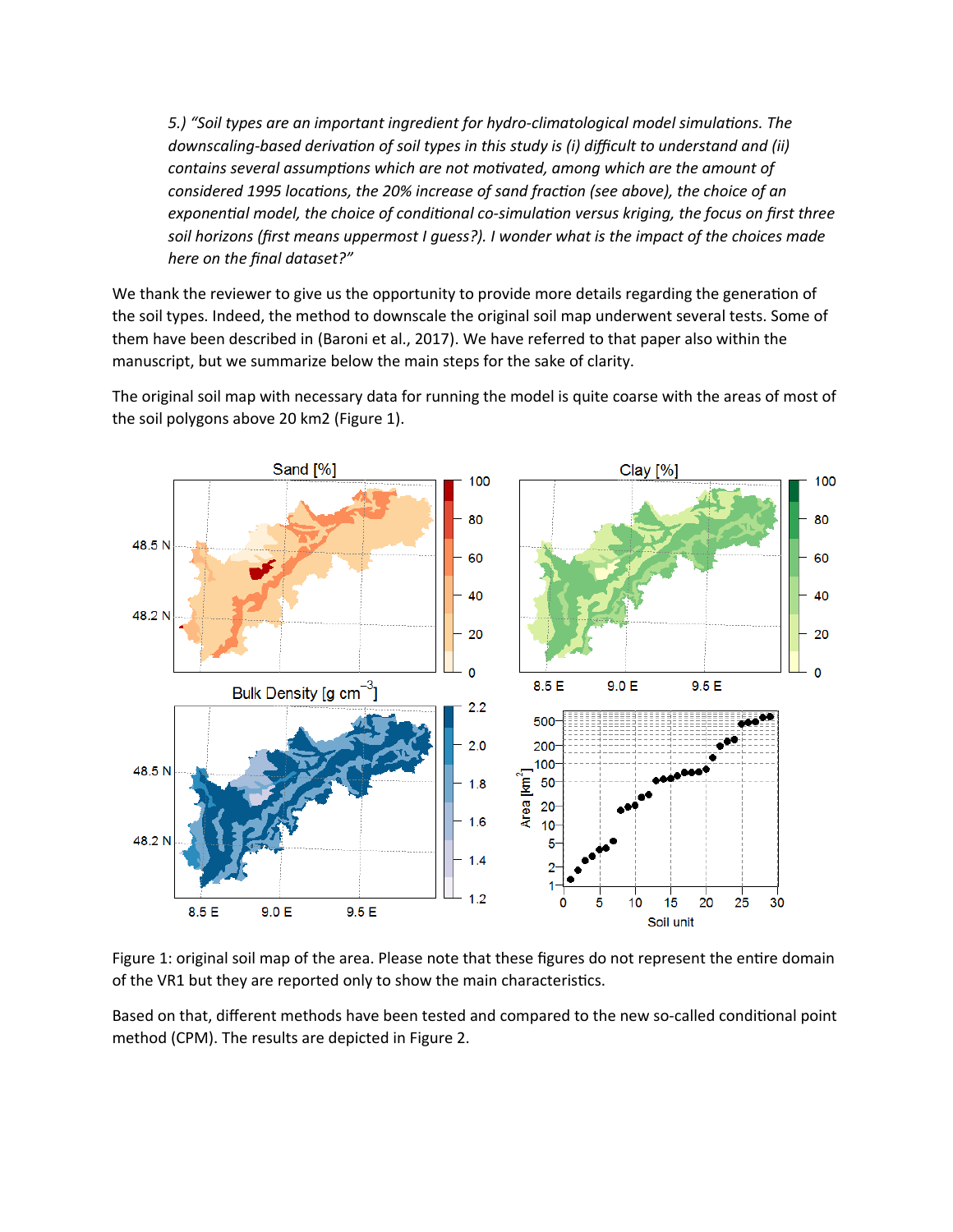*5.) "Soil types are an important ingredient for hydro-climatological model simulations. The downscaling-based derivation of soil types in this study is (i) difficult to understand and (ii) contains several assumptions which are not motivated, among which are the amount of considered 1995 locations, the 20% increase of sand fraction (see above), the choice of an exponential model, the choice of conditional co-simulation versus kriging, the focus on first three soil horizons (first means uppermost I guess?). I wonder what is the impact of the choices made here on the final dataset?"*

We thank the reviewer to give us the opportunity to provide more details regarding the generation of the soil types. Indeed, the method to downscale the original soil map underwent several tests. Some of them have been described in (Baroni et al., 2017). We have referred to that paper also within the manuscript, but we summarize below the main steps for the sake of clarity.

The original soil map with necessary data for running the model is quite coarse with the areas of most of the soil polygons above 20 km2 (Figure 1).



Figure 1: original soil map of the area. Please note that these figures do not represent the entire domain of the VR1 but they are reported only to show the main characteristics.

Based on that, different methods have been tested and compared to the new so-called conditional point method (CPM). The results are depicted in Figure 2.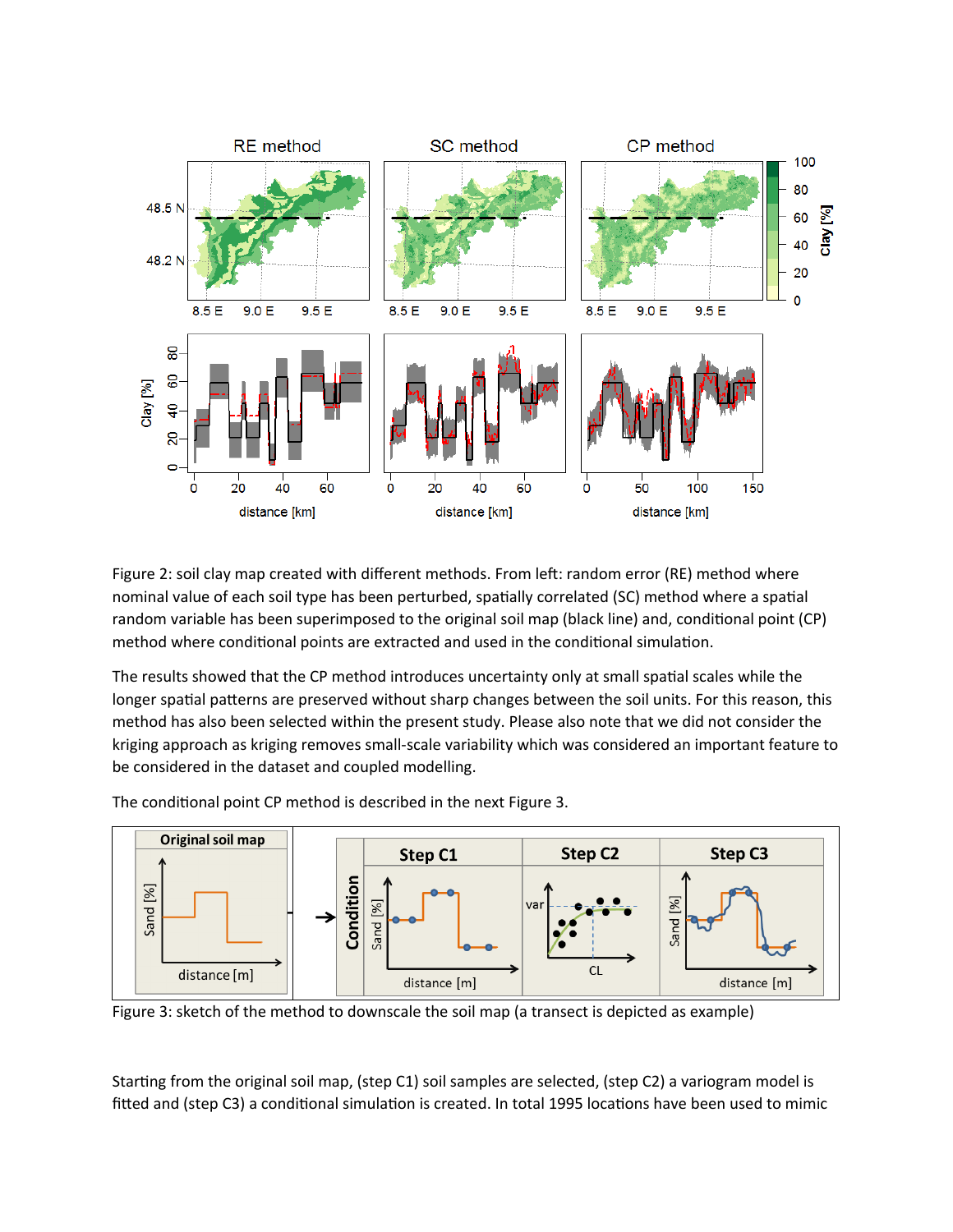

Figure 2: soil clay map created with different methods. From left: random error (RE) method where nominal value of each soil type has been perturbed, spatially correlated (SC) method where a spatial random variable has been superimposed to the original soil map (black line) and, conditional point (CP) method where conditional points are extracted and used in the conditional simulation.

The results showed that the CP method introduces uncertainty only at small spatial scales while the longer spatial patterns are preserved without sharp changes between the soil units. For this reason, this method has also been selected within the present study. Please also note that we did not consider the kriging approach as kriging removes small-scale variability which was considered an important feature to be considered in the dataset and coupled modelling.

The conditional point CP method is described in the next Figure 3.



Figure 3: sketch of the method to downscale the soil map (a transect is depicted as example)

Starting from the original soil map, (step C1) soil samples are selected, (step C2) a variogram model is fitted and (step C3) a conditional simulation is created. In total 1995 locations have been used to mimic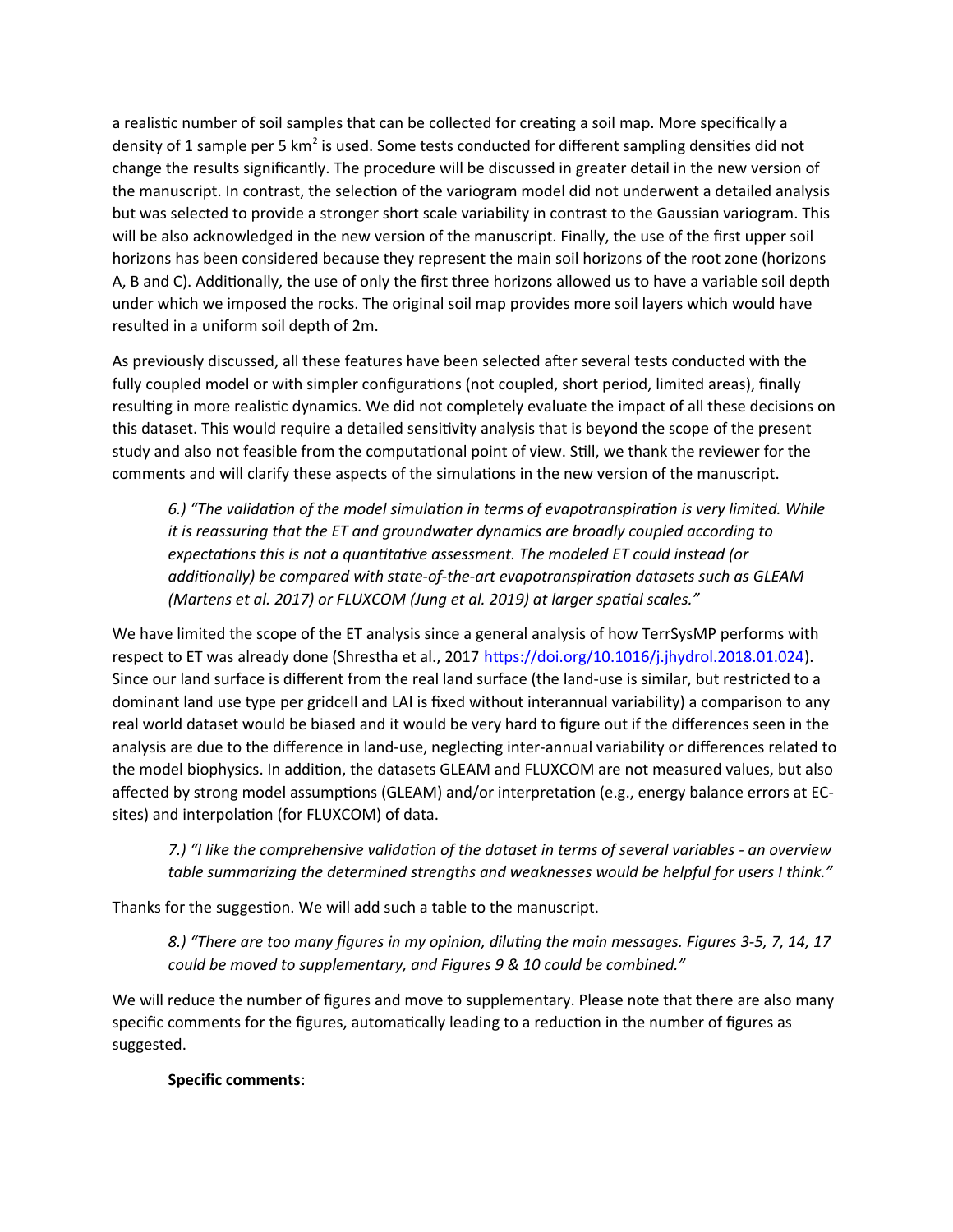a realistic number of soil samples that can be collected for creating a soil map. More specifically a density of 1 sample per 5 km<sup>2</sup> is used. Some tests conducted for different sampling densities did not change the results significantly. The procedure will be discussed in greater detail in the new version of the manuscript. In contrast, the selection of the variogram model did not underwent a detailed analysis but was selected to provide a stronger short scale variability in contrast to the Gaussian variogram. This will be also acknowledged in the new version of the manuscript. Finally, the use of the first upper soil horizons has been considered because they represent the main soil horizons of the root zone (horizons A, B and C). Additionally, the use of only the first three horizons allowed us to have a variable soil depth under which we imposed the rocks. The original soil map provides more soil layers which would have resulted in a uniform soil depth of 2m.

As previously discussed, all these features have been selected after several tests conducted with the fully coupled model or with simpler configurations (not coupled, short period, limited areas), finally resulting in more realistic dynamics. We did not completely evaluate the impact of all these decisions on this dataset. This would require a detailed sensitivity analysis that is beyond the scope of the present study and also not feasible from the computational point of view. Still, we thank the reviewer for the comments and will clarify these aspects of the simulations in the new version of the manuscript.

*6.) "The validation of the model simulation in terms of evapotranspiration is very limited. While it is reassuring that the ET and groundwater dynamics are broadly coupled according to expectations this is not a quantitative assessment. The modeled ET could instead (or additionally) be compared with state-of-the-art evapotranspiration datasets such as GLEAM (Martens et al. 2017) or FLUXCOM (Jung et al. 2019) at larger spatial scales."*

We have limited the scope of the ET analysis since a general analysis of how TerrSysMP performs with respect to ET was already done (Shrestha et al., 2017 https://doi.org/10.1016/j.jhydrol.2018.01.024). Since our land surface is different from the real land surface (the land-use is similar, but restricted to a dominant land use type per gridcell and LAI is fixed without interannual variability) a comparison to any real world dataset would be biased and it would be very hard to figure out if the differences seen in the analysis are due to the difference in land-use, neglecting inter-annual variability or differences related to the model biophysics. In addition, the datasets GLEAM and FLUXCOM are not measured values, but also affected by strong model assumptions (GLEAM) and/or interpretation (e.g., energy balance errors at ECsites) and interpolation (for FLUXCOM) of data.

*7.) "I like the comprehensive validation of the dataset in terms of several variables - an overview table summarizing the determined strengths and weaknesses would be helpful for users I think."*

Thanks for the suggestion. We will add such a table to the manuscript.

*8.) "There are too many figures in my opinion, diluting the main messages. Figures 3-5, 7, 14, 17 could be moved to supplementary, and Figures 9 & 10 could be combined."*

We will reduce the number of figures and move to supplementary. Please note that there are also many specific comments for the figures, automatically leading to a reduction in the number of figures as suggested.

**Specific comments**: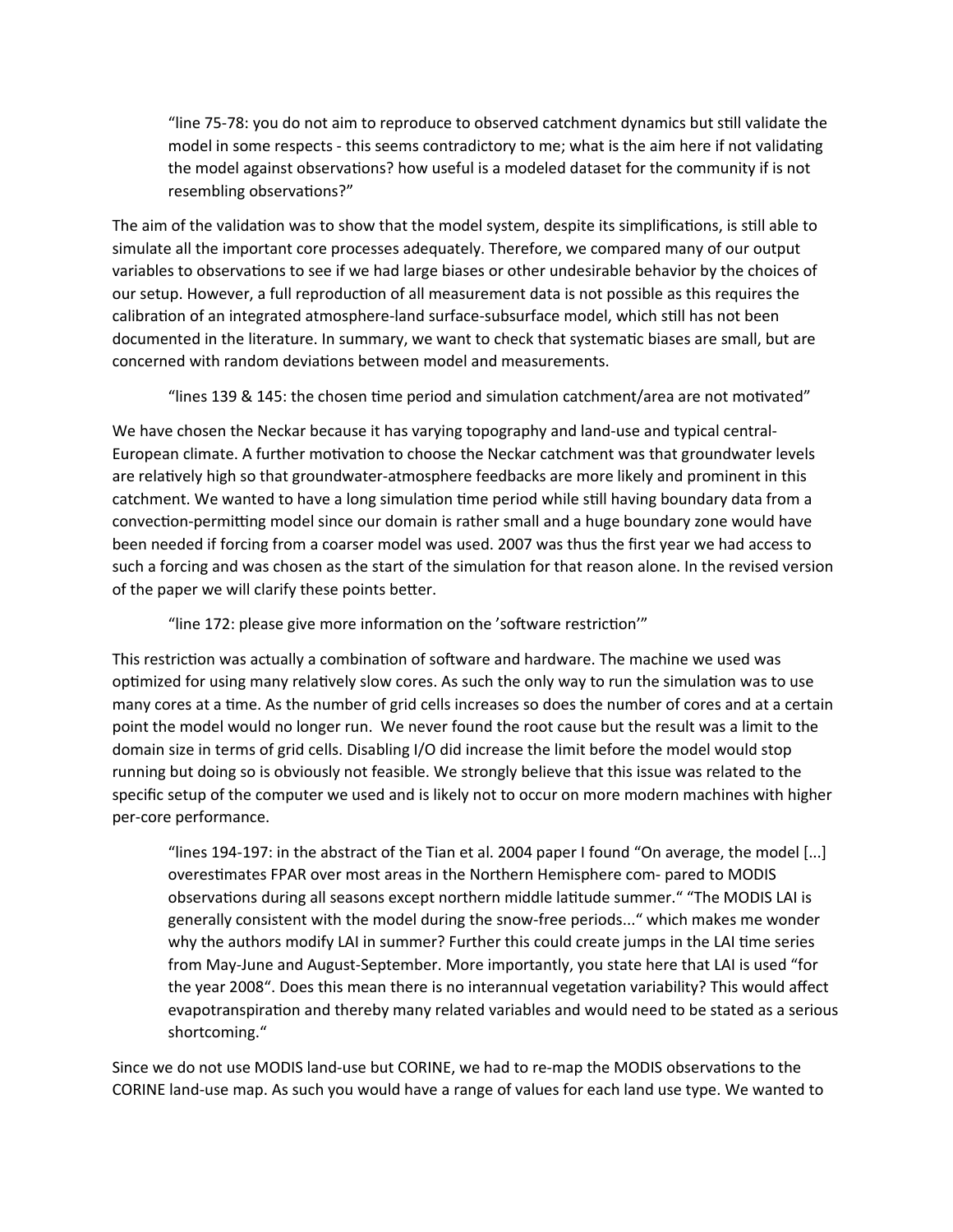"line 75-78: you do not aim to reproduce to observed catchment dynamics but still validate the model in some respects - this seems contradictory to me; what is the aim here if not validating the model against observations? how useful is a modeled dataset for the community if is not resembling observations?"

The aim of the validation was to show that the model system, despite its simplifications, is still able to simulate all the important core processes adequately. Therefore, we compared many of our output variables to observations to see if we had large biases or other undesirable behavior by the choices of our setup. However, a full reproduction of all measurement data is not possible as this requires the calibration of an integrated atmosphere-land surface-subsurface model, which still has not been documented in the literature. In summary, we want to check that systematic biases are small, but are concerned with random deviations between model and measurements.

"lines 139 & 145: the chosen time period and simulation catchment/area are not motivated"

We have chosen the Neckar because it has varying topography and land-use and typical central-European climate. A further motivation to choose the Neckar catchment was that groundwater levels are relatively high so that groundwater-atmosphere feedbacks are more likely and prominent in this catchment. We wanted to have a long simulation time period while still having boundary data from a convection-permitting model since our domain is rather small and a huge boundary zone would have been needed if forcing from a coarser model was used. 2007 was thus the first year we had access to such a forcing and was chosen as the start of the simulation for that reason alone. In the revised version of the paper we will clarify these points better.

"line 172: please give more information on the 'software restriction'"

This restriction was actually a combination of software and hardware. The machine we used was optimized for using many relatively slow cores. As such the only way to run the simulation was to use many cores at a time. As the number of grid cells increases so does the number of cores and at a certain point the model would no longer run. We never found the root cause but the result was a limit to the domain size in terms of grid cells. Disabling I/O did increase the limit before the model would stop running but doing so is obviously not feasible. We strongly believe that this issue was related to the specific setup of the computer we used and is likely not to occur on more modern machines with higher per-core performance.

"lines 194-197: in the abstract of the Tian et al. 2004 paper I found "On average, the model [...] overestimates FPAR over most areas in the Northern Hemisphere com- pared to MODIS observations during all seasons except northern middle latitude summer." "The MODIS LAI is generally consistent with the model during the snow-free periods..." which makes me wonder why the authors modify LAI in summer? Further this could create jumps in the LAI time series from May-June and August-September. More importantly, you state here that LAI is used "for the year 2008". Does this mean there is no interannual vegetation variability? This would affect evapotranspiration and thereby many related variables and would need to be stated as a serious shortcoming."

Since we do not use MODIS land-use but CORINE, we had to re-map the MODIS observations to the CORINE land-use map. As such you would have a range of values for each land use type. We wanted to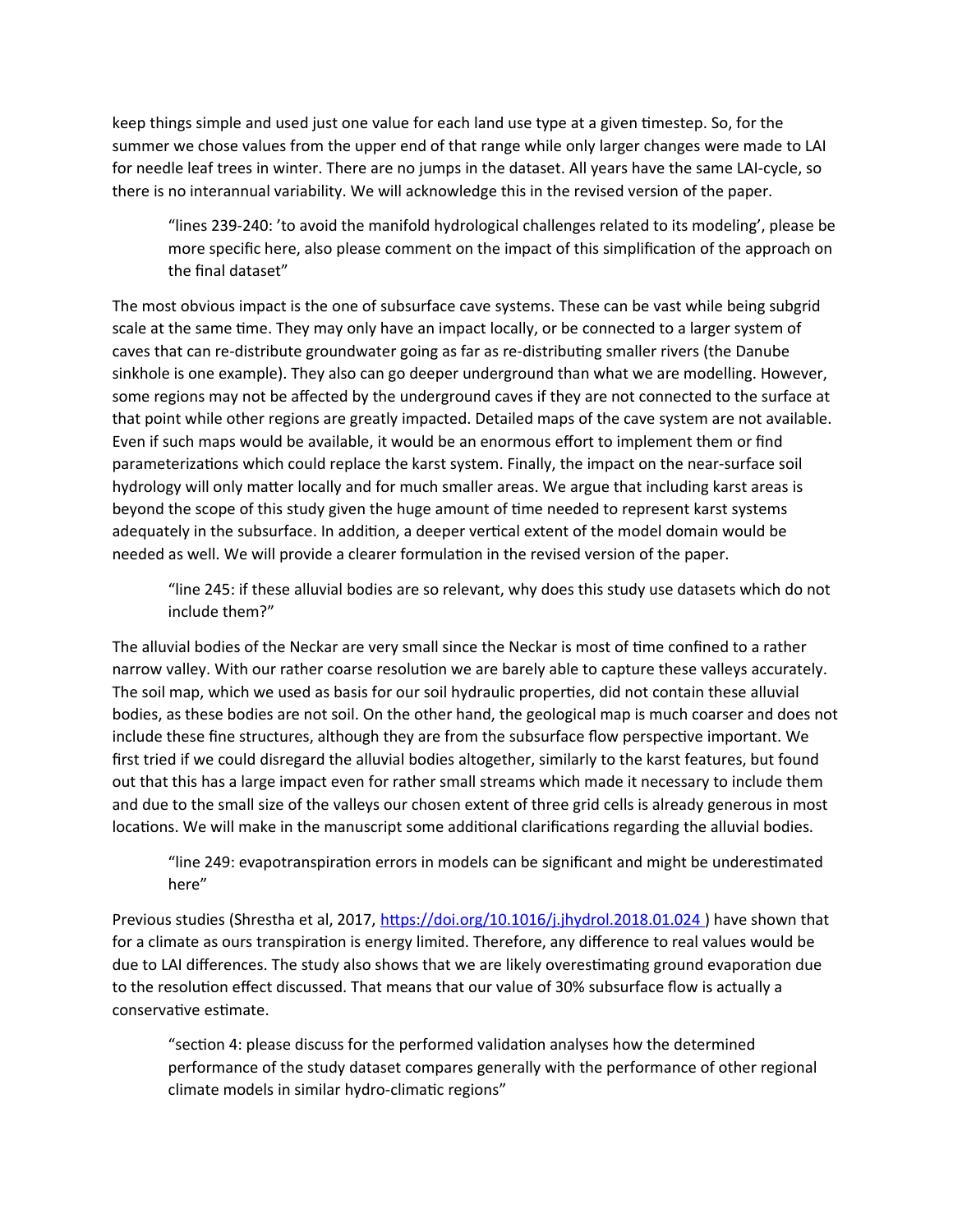keep things simple and used just one value for each land use type at a given timestep. So, for the summer we chose values from the upper end of that range while only larger changes were made to LAI for needle leaf trees in winter. There are no jumps in the dataset. All years have the same LAI-cycle, so there is no interannual variability. We will acknowledge this in the revised version of the paper.

"lines 239-240: 'to avoid the manifold hydrological challenges related to its modeling', please be more specific here, also please comment on the impact of this simplification of the approach on the final dataset"

The most obvious impact is the one of subsurface cave systems. These can be vast while being subgrid scale at the same time. They may only have an impact locally, or be connected to a larger system of caves that can re-distribute groundwater going as far as re-distributing smaller rivers (the Danube sinkhole is one example). They also can go deeper underground than what we are modelling. However, some regions may not be affected by the underground caves if they are not connected to the surface at that point while other regions are greatly impacted. Detailed maps of the cave system are not available. Even if such maps would be available, it would be an enormous effort to implement them or find parameterizations which could replace the karst system. Finally, the impact on the near-surface soil hydrology will only matter locally and for much smaller areas. We argue that including karst areas is beyond the scope of this study given the huge amount of time needed to represent karst systems adequately in the subsurface. In addition, a deeper vertical extent of the model domain would be needed as well. We will provide a clearer formulation in the revised version of the paper.

"line 245: if these alluvial bodies are so relevant, why does this study use datasets which do not include them?"

The alluvial bodies of the Neckar are very small since the Neckar is most of time confined to a rather narrow valley. With our rather coarse resolution we are barely able to capture these valleys accurately. The soil map, which we used as basis for our soil hydraulic properties, did not contain these alluvial bodies, as these bodies are not soil. On the other hand, the geological map is much coarser and does not include these fine structures, although they are from the subsurface flow perspective important. We first tried if we could disregard the alluvial bodies altogether, similarly to the karst features, but found out that this has a large impact even for rather small streams which made it necessary to include them and due to the small size of the valleys our chosen extent of three grid cells is already generous in most locations. We will make in the manuscript some additional clarifications regarding the alluvial bodies.

"line 249: evapotranspiration errors in models can be significant and might be underestimated here"

Previous studies (Shrestha et al, 2017,<https://doi.org/10.1016/j.jhydrol.2018.01.024>) have shown that for a climate as ours transpiration is energy limited. Therefore, any difference to real values would be due to LAI differences. The study also shows that we are likely overestimating ground evaporation due to the resolution effect discussed. That means that our value of 30% subsurface flow is actually a conservative estimate.

"section 4: please discuss for the performed validation analyses how the determined performance of the study dataset compares generally with the performance of other regional climate models in similar hydro-climatic regions"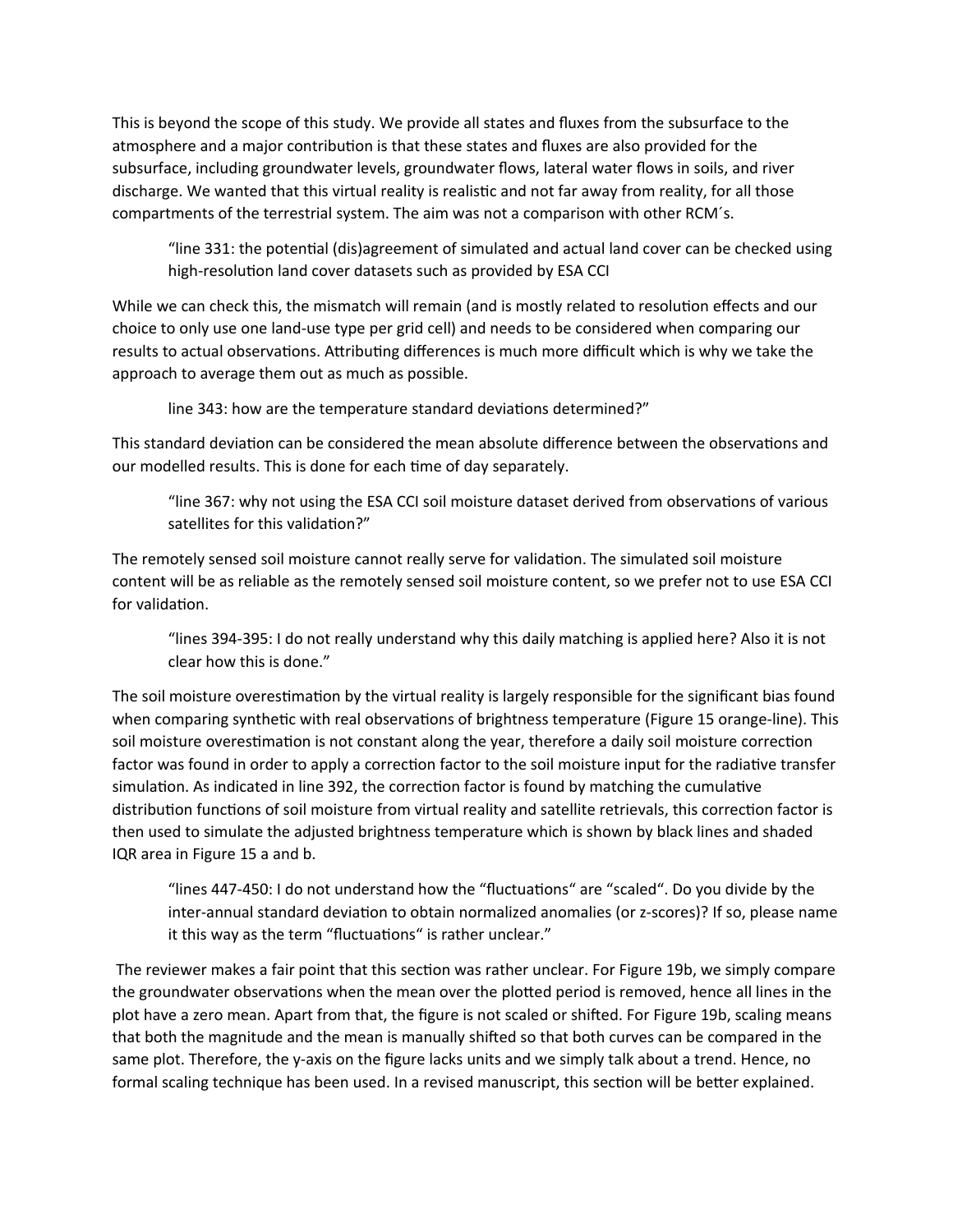This is beyond the scope of this study. We provide all states and fluxes from the subsurface to the atmosphere and a major contribution is that these states and fluxes are also provided for the subsurface, including groundwater levels, groundwater flows, lateral water flows in soils, and river discharge. We wanted that this virtual reality is realistic and not far away from reality, for all those compartments of the terrestrial system. The aim was not a comparison with other RCM´s.

"line 331: the potential (dis)agreement of simulated and actual land cover can be checked using high-resolution land cover datasets such as provided by ESA CCI

While we can check this, the mismatch will remain (and is mostly related to resolution effects and our choice to only use one land-use type per grid cell) and needs to be considered when comparing our results to actual observations. Attributing differences is much more difficult which is why we take the approach to average them out as much as possible.

line 343: how are the temperature standard deviations determined?"

This standard deviation can be considered the mean absolute difference between the observations and our modelled results. This is done for each time of day separately.

"line 367: why not using the ESA CCI soil moisture dataset derived from observations of various satellites for this validation?"

The remotely sensed soil moisture cannot really serve for validation. The simulated soil moisture content will be as reliable as the remotely sensed soil moisture content, so we prefer not to use ESA CCI for validation.

"lines 394-395: I do not really understand why this daily matching is applied here? Also it is not clear how this is done."

The soil moisture overestimation by the virtual reality is largely responsible for the significant bias found when comparing synthetic with real observations of brightness temperature (Figure 15 orange-line). This soil moisture overestimation is not constant along the year, therefore a daily soil moisture correction factor was found in order to apply a correction factor to the soil moisture input for the radiative transfer simulation. As indicated in line 392, the correction factor is found by matching the cumulative distribution functions of soil moisture from virtual reality and satellite retrievals, this correction factor is then used to simulate the adjusted brightness temperature which is shown by black lines and shaded IQR area in Figure 15 a and b.

"lines 447-450: I do not understand how the "fluctuations" are "scaled". Do you divide by the inter-annual standard deviation to obtain normalized anomalies (or z-scores)? If so, please name it this way as the term "fluctuations" is rather unclear."

 The reviewer makes a fair point that this section was rather unclear. For Figure 19b, we simply compare the groundwater observations when the mean over the plotted period is removed, hence all lines in the plot have a zero mean. Apart from that, the figure is not scaled or shifted. For Figure 19b, scaling means that both the magnitude and the mean is manually shifted so that both curves can be compared in the same plot. Therefore, the y-axis on the figure lacks units and we simply talk about a trend. Hence, no formal scaling technique has been used. In a revised manuscript, this section will be better explained.